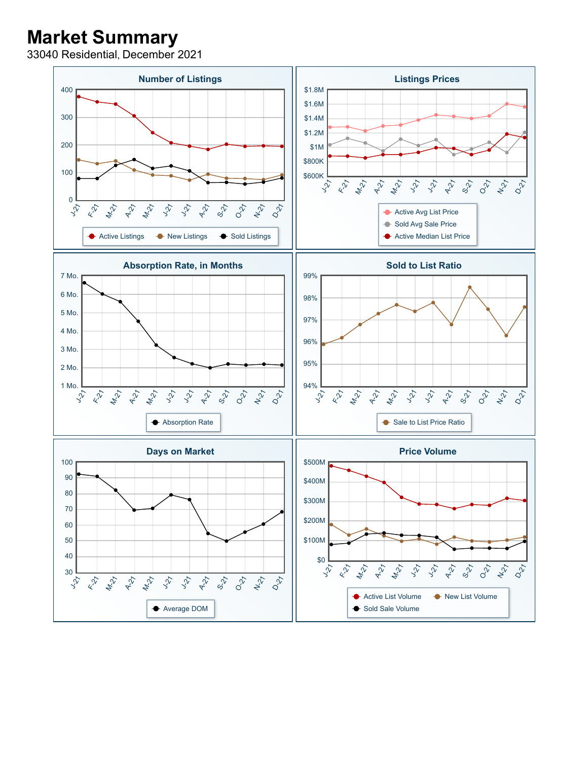## **Market Summary**

33040 Residential, December 2021

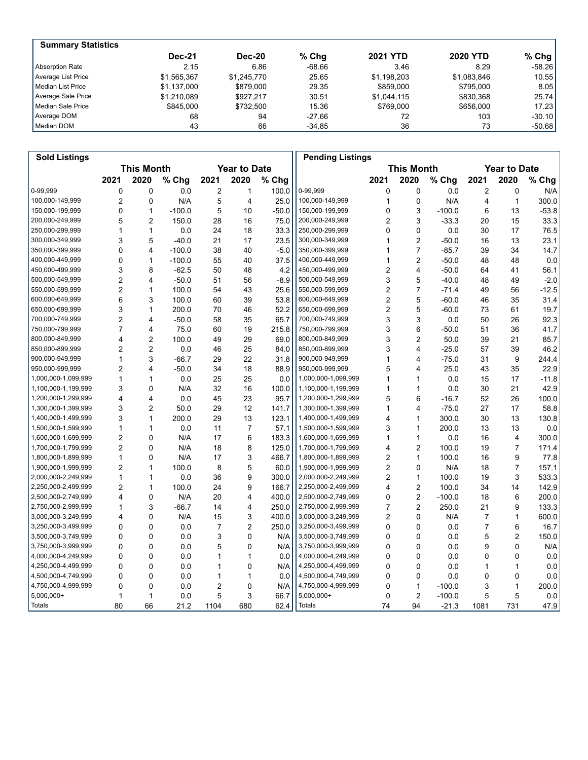| <b>Summary Statistics</b> |               |               |          |                 |                 |           |
|---------------------------|---------------|---------------|----------|-----------------|-----------------|-----------|
|                           | <b>Dec-21</b> | <b>Dec-20</b> | $%$ Chq  | <b>2021 YTD</b> | <b>2020 YTD</b> | % Chg $ $ |
| Absorption Rate           | 2.15          | 6.86          | -68.66   | 3.46            | 8.29            | $-58.26$  |
| Average List Price        | \$1.565.367   | \$1,245,770   | 25.65    | \$1,198,203     | \$1,083,846     | 10.55     |
| Median List Price         | \$1.137.000   | \$879,000     | 29.35    | \$859,000       | \$795,000       | 8.05      |
| Average Sale Price        | \$1,210,089   | \$927.217     | 30.51    | \$1,044,115     | \$830.368       | 25.74     |
| Median Sale Price         | \$845,000     | \$732.500     | 15.36    | \$769,000       | \$656,000       | 17.23     |
| Average DOM               | 68            | 94            | $-27.66$ | 72              | 103             | $-30.10$  |
| Median DOM                | 43            | 66            | $-34.85$ | 36              | 73              | $-50.68$  |

| <b>Sold Listings</b> |                                          |                |          |                |                |                                          | <b>Pending Listings</b> |                |                |          |                  |                |         |
|----------------------|------------------------------------------|----------------|----------|----------------|----------------|------------------------------------------|-------------------------|----------------|----------------|----------|------------------|----------------|---------|
|                      | <b>This Month</b><br><b>Year to Date</b> |                |          |                |                | <b>This Month</b><br><b>Year to Date</b> |                         |                |                |          |                  |                |         |
|                      | 2021                                     | 2020           | % Chg    | 2021           | 2020           | % Chg                                    |                         | 2021           | 2020           | % Chg    | 2021             | 2020           | % Chg   |
| 0-99,999             | 0                                        | $\mathbf 0$    | 0.0      | 2              | 1              | 100.0                                    | 0-99,999                | 0              | 0              | 0.0      | $\boldsymbol{2}$ | $\mathbf 0$    | N/A     |
| 100,000-149,999      | $\overline{2}$                           | $\mathbf 0$    | N/A      | 5              | $\overline{4}$ | 25.0                                     | 100,000-149,999         | 1              | $\mathbf 0$    | N/A      | 4                | $\mathbf{1}$   | 300.0   |
| 150,000-199,999      | 0                                        | $\mathbf{1}$   | $-100.0$ | 5              | 10             | $-50.0$                                  | 150,000-199,999         | 0              | 3              | $-100.0$ | 6                | 13             | -53.8   |
| 200,000-249,999      | 5                                        | $\overline{2}$ | 150.0    | 28             | 16             | 75.0                                     | 200,000-249,999         | 2              | 3              | $-33.3$  | 20               | 15             | 33.3    |
| 250,000-299,999      | 1                                        | $\mathbf{1}$   | 0.0      | 24             | 18             | 33.3                                     | 250,000-299,999         | 0              | 0              | 0.0      | 30               | 17             | 76.5    |
| 300,000-349,999      | 3                                        | 5              | $-40.0$  | 21             | 17             | 23.5                                     | 300,000-349,999         | 1              | $\overline{c}$ | $-50.0$  | 16               | 13             | 23.1    |
| 350,000-399,999      | 0                                        | $\overline{4}$ | $-100.0$ | 38             | 40             | $-5.0$                                   | 350,000-399,999         | 1              | $\overline{7}$ | $-85.7$  | 39               | 34             | 14.7    |
| 400,000-449,999      | $\Omega$                                 | $\mathbf{1}$   | $-100.0$ | 55             | 40             | 37.5                                     | 400,000-449,999         | 1              | $\overline{2}$ | $-50.0$  | 48               | 48             | 0.0     |
| 450,000-499,999      | 3                                        | 8              | $-62.5$  | 50             | 48             | 4.2                                      | 450,000-499,999         | 2              | 4              | $-50.0$  | 64               | 41             | 56.1    |
| 500,000-549,999      | $\overline{c}$                           | $\overline{4}$ | $-50.0$  | 51             | 56             | $-8.9$                                   | 500,000-549,999         | 3              | 5              | $-40.0$  | 48               | 49             | $-2.0$  |
| 550,000-599,999      | $\overline{c}$                           | $\mathbf{1}$   | 100.0    | 54             | 43             | 25.6                                     | 550,000-599,999         | $\overline{c}$ | 7              | $-71.4$  | 49               | 56             | $-12.5$ |
| 600,000-649,999      | 6                                        | 3              | 100.0    | 60             | 39             | 53.8                                     | 600,000-649,999         | $\overline{2}$ | 5              | $-60.0$  | 46               | 35             | 31.4    |
| 650,000-699,999      | 3                                        | $\mathbf{1}$   | 200.0    | 70             | 46             | 52.2                                     | 650,000-699,999         | $\overline{2}$ | 5              | $-60.0$  | 73               | 61             | 19.7    |
| 700,000-749,999      | $\overline{c}$                           | $\overline{4}$ | $-50.0$  | 58             | 35             | 65.7                                     | 700,000-749,999         | 3              | 3              | 0.0      | 50               | 26             | 92.3    |
| 750,000-799,999      | $\overline{7}$                           | $\overline{4}$ | 75.0     | 60             | 19             | 215.8                                    | 750,000-799,999         | 3              | 6              | $-50.0$  | 51               | 36             | 41.7    |
| 800,000-849,999      | 4                                        | $\overline{2}$ | 100.0    | 49             | 29             | 69.0                                     | 800,000-849,999         | 3              | $\overline{c}$ | 50.0     | 39               | 21             | 85.7    |
| 850,000-899,999      | $\overline{2}$                           | $\overline{2}$ | 0.0      | 46             | 25             | 84.0                                     | 850,000-899,999         | 3              | 4              | $-25.0$  | 57               | 39             | 46.2    |
| 900,000-949,999      | $\mathbf{1}$                             | 3              | $-66.7$  | 29             | 22             | 31.8                                     | 900,000-949,999         | 1              | 4              | $-75.0$  | 31               | 9              | 244.4   |
| 950,000-999,999      | $\overline{2}$                           | 4              | $-50.0$  | 34             | 18             | 88.9                                     | 950,000-999,999         | 5              | 4              | 25.0     | 43               | 35             | 22.9    |
| 1,000,000-1,099,999  | $\mathbf{1}$                             | $\mathbf{1}$   | 0.0      | 25             | 25             | 0.0                                      | 1,000,000-1,099,999     | 1              | 1              | 0.0      | 15               | 17             | $-11.8$ |
| 1,100,000-1,199,999  | 3                                        | $\mathbf 0$    | N/A      | 32             | 16             | 100.0                                    | 1,100,000-1,199,999     | 1              | 1              | 0.0      | 30               | 21             | 42.9    |
| 1,200,000-1,299,999  | 4                                        | 4              | 0.0      | 45             | 23             | 95.7                                     | 1,200,000-1,299,999     | 5              | 6              | $-16.7$  | 52               | 26             | 100.0   |
| 1,300,000-1,399,999  | 3                                        | $\overline{2}$ | 50.0     | 29             | 12             | 141.7                                    | 1,300,000-1,399,999     | 1              | 4              | $-75.0$  | 27               | 17             | 58.8    |
| 1,400,000-1,499,999  | 3                                        | $\mathbf{1}$   | 200.0    | 29             | 13             | 123.1                                    | 1,400,000-1,499,999     | 4              | 1              | 300.0    | 30               | 13             | 130.8   |
| 1,500,000-1,599,999  | $\mathbf{1}$                             | $\mathbf{1}$   | 0.0      | 11             | $\overline{7}$ | 57.1                                     | 1,500,000-1,599,999     | 3              | $\mathbf{1}$   | 200.0    | 13               | 13             | 0.0     |
| 1,600,000-1,699,999  | $\overline{c}$                           | $\mathbf 0$    | N/A      | 17             | 6              | 183.3                                    | 1,600,000-1,699,999     | 1              | 1              | 0.0      | 16               | 4              | 300.0   |
| 1,700,000-1,799,999  | $\overline{2}$                           | 0              | N/A      | 18             | 8              | 125.0                                    | 1,700,000-1,799,999     | 4              | $\overline{c}$ | 100.0    | 19               | 7              | 171.4   |
| 1,800,000-1,899,999  | $\mathbf{1}$                             | $\mathbf{0}$   | N/A      | 17             | 3              | 466.7                                    | 1,800,000-1,899,999     | $\overline{2}$ | $\mathbf{1}$   | 100.0    | 16               | 9              | 77.8    |
| 1,900,000-1,999,999  | $\overline{2}$                           | $\mathbf{1}$   | 100.0    | 8              | 5              | 60.0                                     | 1,900,000-1,999,999     | 2              | 0              | N/A      | 18               | $\overline{7}$ | 157.1   |
| 2,000,000-2,249,999  | $\mathbf{1}$                             | $\mathbf{1}$   | 0.0      | 36             | 9              | 300.0                                    | 2,000,000-2,249,999     | $\overline{2}$ | $\mathbf{1}$   | 100.0    | 19               | 3              | 533.3   |
| 2,250,000-2,499,999  | $\overline{c}$                           | $\mathbf{1}$   | 100.0    | 24             | 9              | 166.7                                    | 2,250,000-2,499,999     | 4              | 2              | 100.0    | 34               | 14             | 142.9   |
| 2,500,000-2,749,999  | 4                                        | 0              | N/A      | 20             | 4              | 400.0                                    | 2,500,000-2,749,999     | 0              | $\overline{2}$ | $-100.0$ | 18               | 6              | 200.0   |
| 2,750,000-2,999,999  | $\mathbf{1}$                             | 3              | $-66.7$  | 14             | 4              | 250.0                                    | 2,750,000-2,999,999     | 7              | $\overline{2}$ | 250.0    | 21               | 9              | 133.3   |
| 3,000,000-3,249,999  | 4                                        | $\mathbf 0$    | N/A      | 15             | 3              | 400.0                                    | 3,000,000-3,249,999     | $\overline{2}$ | $\mathbf 0$    | N/A      | 7                | $\mathbf{1}$   | 600.0   |
| 3,250,000-3,499,999  | $\Omega$                                 | $\mathbf 0$    | 0.0      | $\overline{7}$ | $\overline{2}$ | 250.0                                    | 3,250,000-3,499,999     | 0              | 0              | 0.0      | 7                | 6              | 16.7    |
| 3,500,000-3,749,999  | 0                                        | $\mathbf 0$    | 0.0      | 3              | 0              | N/A                                      | 3,500,000-3,749,999     | 0              | $\mathbf 0$    | 0.0      | 5                | $\overline{2}$ | 150.0   |
| 3,750,000-3,999,999  | 0                                        | 0              | 0.0      | 5              | 0              | N/A                                      | 3,750,000-3,999,999     | 0              | 0              | 0.0      | 9                | 0              | N/A     |
| 4,000,000-4,249,999  | 0                                        | $\mathbf 0$    | 0.0      | 1              | $\mathbf{1}$   | 0.0                                      | 4,000,000-4,249,999     | 0              | 0              | 0.0      | 0                | $\mathbf 0$    | $0.0\,$ |
| 4,250,000-4,499,999  | $\Omega$                                 | $\Omega$       | 0.0      | 1              | $\mathbf{0}$   | N/A                                      | 4,250,000-4,499,999     | 0              | 0              | 0.0      | 1                | $\mathbf{1}$   | 0.0     |
| 4,500,000-4,749,999  | $\Omega$                                 | $\mathbf 0$    | 0.0      | 1              | 1              | 0.0                                      | 4,500,000-4,749,999     | 0              | 0              | 0.0      | 0                | $\Omega$       | 0.0     |
| 4,750,000-4,999,999  | 0                                        | $\mathbf 0$    | 0.0      | 2              | $\mathbf 0$    | N/A                                      | 4,750,000-4,999,999     | 0              | 1              | $-100.0$ | 3                | 1              | 200.0   |
| 5,000,000+           | $\mathbf{1}$                             | 1              | 0.0      | 5              | 3              | 66.7                                     | 5,000,000+              | 0              | $\overline{2}$ | $-100.0$ | 5                | 5              | 0.0     |
| Totals               | 80                                       | 66             | 21.2     | 1104           | 680            | 62.4                                     | Totals                  | 74             | 94             | $-21.3$  | 1081             | 731            | 47.9    |